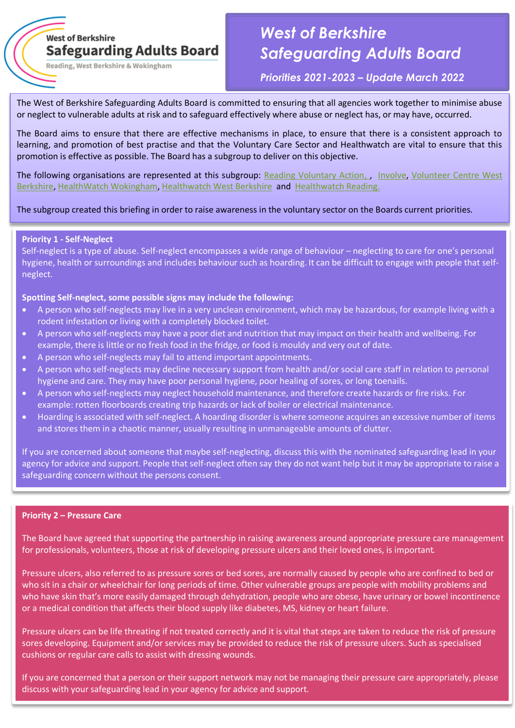# **West of Berkshire Safeguarding Adults Board**

Reading, West Berkshire & Wokingham

# *West of Berkshire Safeguarding Adults Board*

*Priorities 2021-2023 – Update March 2022*

The West of Berkshire Safeguarding Adults Board is committed to ensuring that all agencies work together to minimise abuse or neglect to vulnerable adults at risk and to safeguard effectively where abuse or neglect has, or may have, occurred.

The Board aims to ensure that there are effective mechanisms in place, to ensure that there is a consistent approach to learning, and promotion of best practise and that the Voluntary Care Sector and Healthwatch are vital to ensure that this promotion is effective as possible. The Board has a subgroup to deliver on this objective.

The following organisations are represented at this subgroup: [Reading Voluntary Action,](https://rva.org.uk/) , [Involve,](https://involve.community/about/) Volunteer Centre West [Berkshire,](https://www.volunteerwestberks.org.uk/) [HealthWatch Wokingham,](https://www.healthwatchwokingham.co.uk/) [Healthwatch West Berkshire](https://www.healthwatchwestberks.org.uk/) and [Healthwatch Reading.](https://www.healthwatchwestberks.org.uk/)

## The subgroup created this briefing in order to raise awareness in the voluntary sector on the Boards current priorities.

#### **Priority 1 - Self-Neglect**

Self-neglect is a type of abuse. Self-neglect encompasses a wide range of behaviour – neglecting to care for one's personal hygiene, health or surroundings and includes behaviour such as hoarding. It can be difficult to engage with people that selfneglect.

#### **Spotting Self-neglect, some possible signs may include the following:**

- A person who self-neglects may live in a very unclean environment, which may be hazardous, for example living with a rodent infestation or living with a completely blocked toilet.
- A person who self-neglects may have a poor diet and nutrition that may impact on their health and wellbeing. For example, there is little or no fresh food in the fridge, or food is mouldy and very out of date.
- A person who self-neglects may fail to attend important appointments.
- A person who self-neglects may decline necessary support from health and/or social care staff in relation to personal hygiene and care. They may have poor personal hygiene, poor healing of sores, or long toenails.
- A person who self-neglects may neglect household maintenance, and therefore create hazards or fire risks. For example: rotten floorboards creating trip hazards or lack of boiler or electrical maintenance.
- Hoarding is associated with self-neglect. A hoarding disorder is where someone acquires an excessive number of items and stores them in a chaotic manner, usually resulting in unmanageable amounts of clutter.

If you are concerned about someone that maybe self-neglecting, discuss this with the nominated safeguarding lead in your agency for advice and support. People that self-neglect often say they do not want help but it may be appropriate to raise a safeguarding concern without the persons consent.

# **Priority 2 – Pressure Care**

The Board have agreed that supporting the partnership in raising awareness around appropriate pressure care management for professionals, volunteers, those at risk of developing pressure ulcers and their loved ones, is important.

Pressure ulcers, also referred to as pressure sores or bed sores, are normally caused by people who are confined to bed or who sit in a chair or wheelchair for long periods of time. Other vulnerable groups are people with mobility problems and who have skin that's more easily damaged through dehydration, people who are obese, have urinary or bowel incontinence or a medical condition that affects their blood supply like diabetes, MS, kidney or heart failure.

Pressure ulcers can be life threating if not treated correctly and it is vital that steps are taken to reduce the risk of pressure sores developing. Equipment and/or services may be provided to reduce the risk of pressure ulcers. Such as specialised cushions or regular care calls to assist with dressing wounds.

If you are concerned that a person or their support network may not be managing their pressure care appropriately, please discuss with your safeguarding lead in your agency for advice and support.